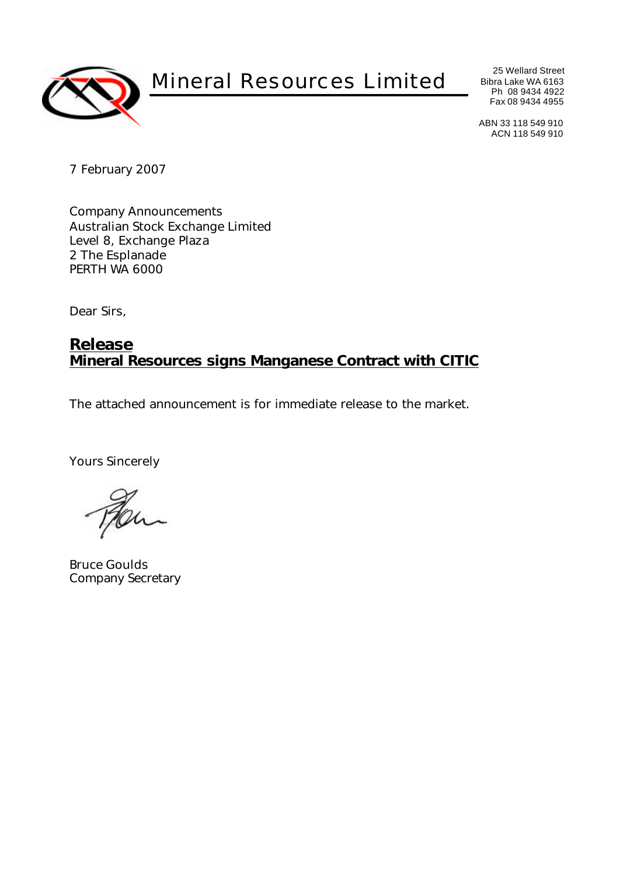

Mineral Resources Limited

25 Wellard Street Bibra Lake WA 6163 Ph 08 9434 4922 Fax 08 9434 4955

ABN 33 118 549 910 ACN 118 549 910

7 February 2007

Company Announcements Australian Stock Exchange Limited Level 8, Exchange Plaza 2 The Esplanade PERTH WA 6000

Dear Sirs,

## **Release Mineral Resources signs Manganese Contract with CITIC**

The attached announcement is for immediate release to the market.

Yours Sincerely

Bruce Goulds Company Secretary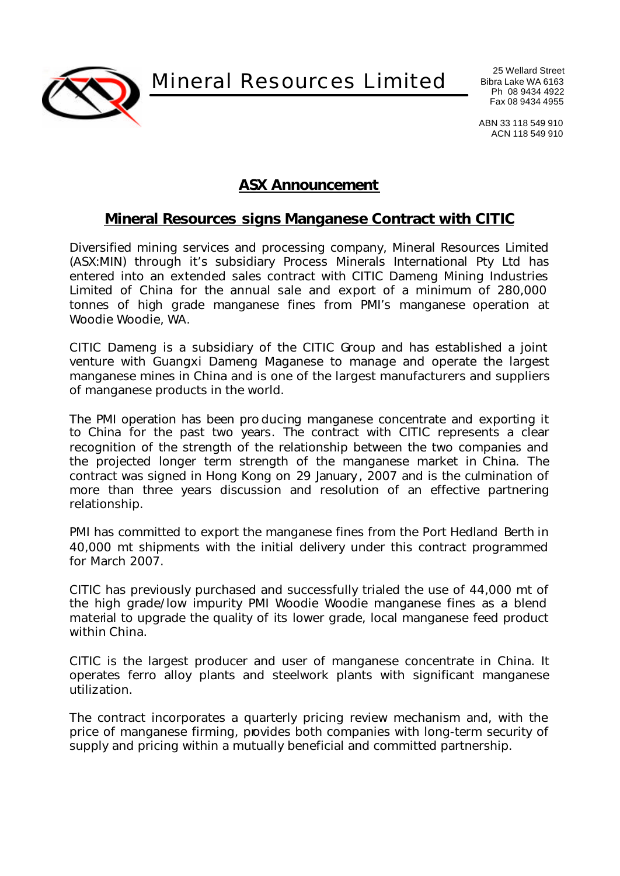Mineral Resources Limited

25 Wellard Street Bibra Lake WA 6163 Ph 08 9434 4922 Fax 08 9434 4955

ABN 33 118 549 910 ACN 118 549 910

## **ASX Announcement**

## **Mineral Resources signs Manganese Contract with CITIC**

Diversified mining services and processing company, Mineral Resources Limited (ASX:MIN) through it's subsidiary Process Minerals International Pty Ltd has entered into an extended sales contract with CITIC Dameng Mining Industries Limited of China for the annual sale and export of a minimum of 280,000 tonnes of high grade manganese fines from PMI's manganese operation at Woodie Woodie, WA.

CITIC Dameng is a subsidiary of the CITIC Group and has established a joint venture with Guangxi Dameng Maganese to manage and operate the largest manganese mines in China and is one of the largest manufacturers and suppliers of manganese products in the world.

The PMI operation has been pro ducing manganese concentrate and exporting it to China for the past two years. The contract with CITIC represents a clear recognition of the strength of the relationship between the two companies and the projected longer term strength of the manganese market in China. The contract was signed in Hong Kong on 29 January , 2007 and is the culmination of more than three years discussion and resolution of an effective partnering relationship.

PMI has committed to export the manganese fines from the Port Hedland Berth in 40,000 mt shipments with the initial delivery under this contract programmed for March 2007.

CITIC has previously purchased and successfully trialed the use of 44,000 mt of the high grade/low impurity PMI Woodie Woodie manganese fines as a blend material to upgrade the quality of its lower grade, local manganese feed product within China.

CITIC is the largest producer and user of manganese concentrate in China. It operates ferro alloy plants and steelwork plants with significant manganese utilization.

The contract incorporates a quarterly pricing review mechanism and, with the price of manganese firming, provides both companies with long-term security of supply and pricing within a mutually beneficial and committed partnership.